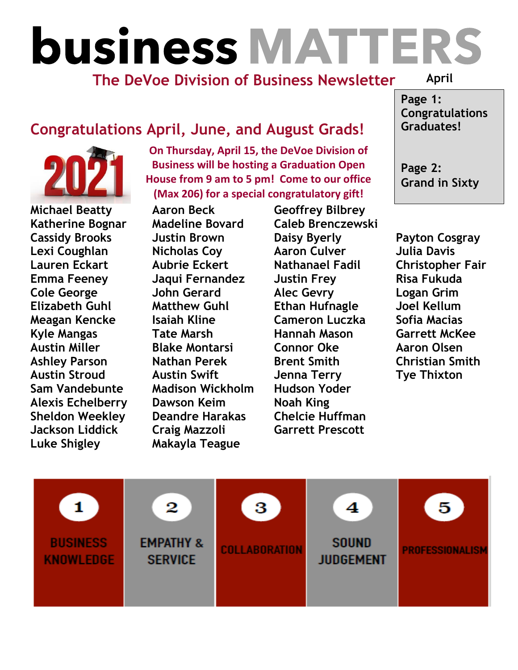## **business MATTERS**

## **The DeVoe Division of Business Newsletter**

**April**

## **Congratulations April, June, and August Grads!**



**Luke Shigley Makayla Teague**

**On Thursday, April 15, the DeVoe Division of Business will be hosting a Graduation Open House from 9 am to 5 pm! Come to our office (Max 206) for a special congratulatory gift!**

**Michael Beatty Aaron Beck Geoffrey Bilbrey Sam Vandebunte Madison Wickholm Hudson Yoder Alexis Echelberry Dawson Keim Noah King Sheldon Weekley Deandre Harakas Chelcie Huffman Jackson Liddick Craig Mazzoli Garrett Prescott**

**Katherine Bognar Madeline Bovard Caleb Brenczewski Cassidy Brooks Justin Brown Daisy Byerly Payton Cosgray Lexi Coughlan Nicholas Coy Aaron Culver Julia Davis Lauren Eckart Aubrie Eckert Nathanael Fadil Christopher Fair Emma Feeney Jaqui Fernandez Justin Frey Risa Fukuda Cole George John Gerard Alec Gevry Logan Grim Elizabeth Guhl Matthew Guhl Ethan Hufnagle Joel Kellum Meagan Kencke Isaiah Kline Cameron Luczka Sofia Macias Kyle Mangas Tate Marsh Hannah Mason Garrett McKee Austin Miller Blake Montarsi Connor Oke Aaron Olsen Ashley Parson Nathan Perek Brent Smith Christian Smith Austin Stroud Austin Swift Jenna Terry Tye Thixton**

**Page 1: Congratulations Graduates!**

**Page 2: Grand in Sixty**